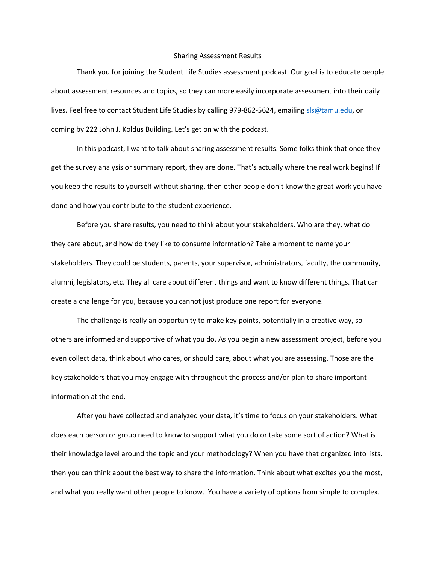## Sharing Assessment Results

Thank you for joining the Student Life Studies assessment podcast. Our goal is to educate people about assessment resources and topics, so they can more easily incorporate assessment into their daily lives. Feel free to contact Student Life Studies by calling 979-862-5624, emailin[g sls@tamu.edu,](mailto:sls@tamu.edu) or coming by 222 John J. Koldus Building. Let's get on with the podcast.

In this podcast, I want to talk about sharing assessment results. Some folks think that once they get the survey analysis or summary report, they are done. That's actually where the real work begins! If you keep the results to yourself without sharing, then other people don't know the great work you have done and how you contribute to the student experience.

Before you share results, you need to think about your stakeholders. Who are they, what do they care about, and how do they like to consume information? Take a moment to name your stakeholders. They could be students, parents, your supervisor, administrators, faculty, the community, alumni, legislators, etc. They all care about different things and want to know different things. That can create a challenge for you, because you cannot just produce one report for everyone.

The challenge is really an opportunity to make key points, potentially in a creative way, so others are informed and supportive of what you do. As you begin a new assessment project, before you even collect data, think about who cares, or should care, about what you are assessing. Those are the key stakeholders that you may engage with throughout the process and/or plan to share important information at the end.

After you have collected and analyzed your data, it's time to focus on your stakeholders. What does each person or group need to know to support what you do or take some sort of action? What is their knowledge level around the topic and your methodology? When you have that organized into lists, then you can think about the best way to share the information. Think about what excites you the most, and what you really want other people to know. You have a variety of options from simple to complex.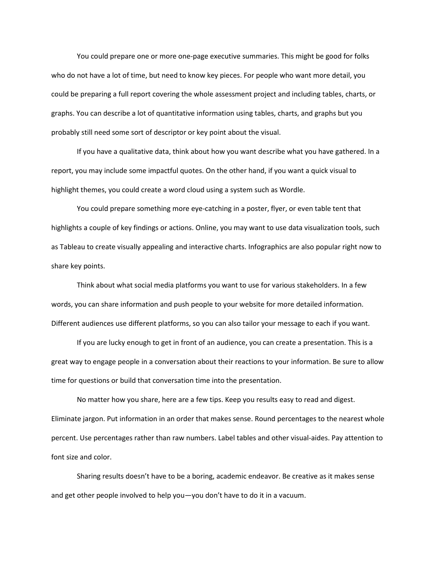You could prepare one or more one-page executive summaries. This might be good for folks who do not have a lot of time, but need to know key pieces. For people who want more detail, you could be preparing a full report covering the whole assessment project and including tables, charts, or graphs. You can describe a lot of quantitative information using tables, charts, and graphs but you probably still need some sort of descriptor or key point about the visual.

If you have a qualitative data, think about how you want describe what you have gathered. In a report, you may include some impactful quotes. On the other hand, if you want a quick visual to highlight themes, you could create a word cloud using a system such as Wordle.

You could prepare something more eye-catching in a poster, flyer, or even table tent that highlights a couple of key findings or actions. Online, you may want to use data visualization tools, such as Tableau to create visually appealing and interactive charts. Infographics are also popular right now to share key points.

Think about what social media platforms you want to use for various stakeholders. In a few words, you can share information and push people to your website for more detailed information. Different audiences use different platforms, so you can also tailor your message to each if you want.

If you are lucky enough to get in front of an audience, you can create a presentation. This is a great way to engage people in a conversation about their reactions to your information. Be sure to allow time for questions or build that conversation time into the presentation.

No matter how you share, here are a few tips. Keep you results easy to read and digest. Eliminate jargon. Put information in an order that makes sense. Round percentages to the nearest whole percent. Use percentages rather than raw numbers. Label tables and other visual-aides. Pay attention to font size and color.

Sharing results doesn't have to be a boring, academic endeavor. Be creative as it makes sense and get other people involved to help you—you don't have to do it in a vacuum.